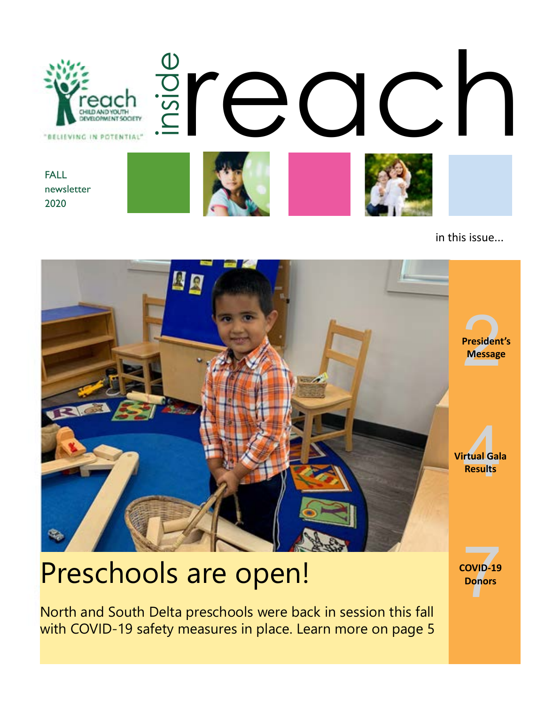

in this issue...



# **Preschools are open!**

North and South Delta preschools were back in session this fall with COVID-19 safety measures in place. Learn more on page 5 **COVID-19**<br>**Donors**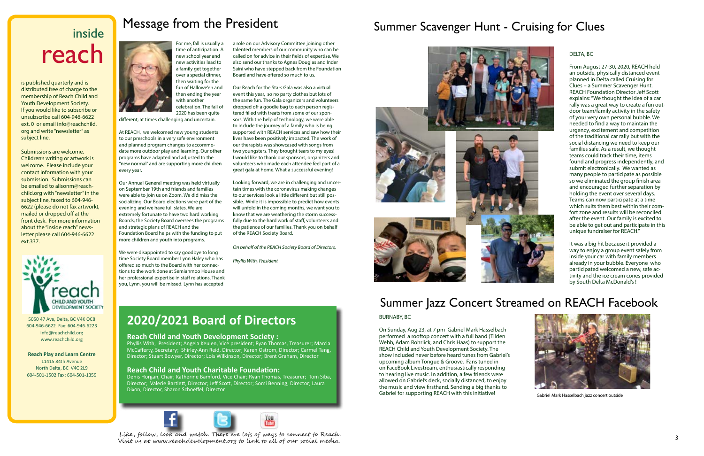# inside reach

### Message from the President

is published quarterly and is distributed free of charge to the membership of Reach Child and Youth Development Society. If you would like to subscribe or unsubscribe call 604-946-6622 ext. 0 or email info@reachchild. org and write "newsletter" as subject line.

Submissions are welcome. Children's writing or artwork is welcome. Please include your contact information with your submission. Submissions can be emailed to alisonm@reachchild.org with "newsletter" in the subject line, faxed to 604-946- 6622 (please do not fax artwork), mailed or dropped off at the front desk. For more information about the "inside reach" newsletter please call 604-946-6622 ext.337.



5050 47 Ave, Delta, BC V4K OC8 604-946-6622 Fax: 604-946-6223 info@reachchild.org www.reachchild.org

**Reach Play and Learn Centre** 11415 84th Avenue North Delta, BC V4C 2L9 604-501-1502 Fax: 604-501-1359



2020 has been quite different; at times challenging and uncertain.

At REACH, we welcomed new young students to our preschools in a very safe environment and planned program changes to accommodate more outdoor play and learning. Our other programs have adapted and adjusted to the "new normal" and are supporting more children every year.

Our Annual General meeting was held virtually on September 19th and friends and families were able to join us on Zoom. We did miss the socializing. Our Board elections were part of the evening and we have full slates. We are extremely fortunate to have two hard working Boards; the Society Board oversees the programs and strategic plans of REACH and the Foundation Board helps with the funding to put more children and youth into programs.

Like, follow, look and watch. There are lots of ways to connect to Reach. Visit us at www.reachdevelopment.org to link to all of our social media.

We were disappointed to say goodbye to long time Society Board member Lynn Haley who has offered so much to the Board with her connections to the work done at Semiahmoo House and her professional expertise in staff relations. Thank you, Lynn, you will be missed. Lynn has accepted

a role on our Advisory Committee joining other talented members of our community who can be called on for advice in their fields of expertise. We also send our thanks to Agnes Douglas and Inder Saini who have stepped back from the Foundation Board and have offered so much to us.

Our Reach for the Stars Gala was also a virtual event this year, so no party clothes but lots of the same fun. The Gala organizers and volunteers dropped off a goodie bag to each person registered filled with treats from some of our sponsors. With the help of technology, we were able to include the journey of a family who is being supported with REACH services and saw how their lives have been positively impacted. The work of our therapists was showcased with songs from two youngsters. They brought tears to my eyes! I would like to thank our sponsors, organizers and volunteers who made each attendee feel part of a great gala at home. What a successful evening!

Looking forward, we are in challenging and uncertain times with the coronavirus making changes to our services look a little different but still possible. While it is impossible to predict how events will unfold in the coming months, we want you to know that we are weathering the storm successfully due to the hard work of staff, volunteers and the patience of our families. Thank you on behalf of the REACH Society Board.

*On behalf of the REACH Society Board of Directors,*

*Phyllis With, President*

#### **2020/2021 Board of Directors**

#### **Reach Child and Youth Development Society :**

Phyllis With, President; Angela Keulen, Vice president; Ryan Thomas, Treasurer; Marcia McCafferty, Secretary; Shirley-Ann Reid, Director; Karen Ostrom, Director; Carmel Tang, Director; Stuart Bowyer, Director; Lois Wilkinson, Director; Brent Graham, Director

#### **Reach Child and Youth Charitable Foundation:**

Denis Horgan, Chair; Katherine Bamford, Vice Chair; Ryan Thomas, Treasurer; Tom Siba, Director; Valerie Bartlett, Director; Jeff Scott, Director; Somi Benning, Director; Laura Dixon, Director, Sharon Schoeffel, Director



#### DELTA, BC

From August 27-30, 2020, REACH held an outside, physically distanced event planned in Delta called Cruising for Clues – a Summer Scavenger Hunt. REACH Foundation Director Jeff Scott explains: "We thought the idea of a car rally was a great way to create a fun outdoor team/family activity in the safety of your very own personal bubble. We needed to find a way to maintain the urgency, excitement and competition of the traditional car rally but with the social distancing we need to keep our families safe. As a result, we thought teams could track their time, items found and progress independently, and submit electronically. We wanted as many people to participate as possible so we eliminated the group finish area and encouraged further separation by holding the event over several days. Teams can now participate at a time which suits them best within their comfort zone and results will be reconciled after the event. Our family is excited to be able to get out and participate in this unique fundraiser for REACH."

It was a big hit because it provided a way to enjoy a group event safely from inside your car with family members already in your bubble. Everyone who participated welcomed a new, safe activity and the ice cream con[e](https://www.facebook.com/pg/reachsocietybc/photos/?tab=album&album_id=2970830332947393)s provided by South Delta McDonald's !



## Summer Scavenger Hunt - Cruising for Clues



#### Summer Jazz Concert Streamed on REACH Facebook

Gabriel Mark Hasselbach jazz concert outside

#### BURNABY, BC

On Sunday, Aug 23, at 7 pm Gabriel Mark Hasselbach performed a rooftop concert with a full band (Tilden Webb, Adam Rohrlick, and Chris Haas) to support the REACH Child and Youth Development Society. The show included never before heard tunes from Gabriel's upcoming album Tongue & Groove. Fans tuned in on FaceBook Livestream, enthusiastically responding to hearing live music. In addition, a few friends were allowed on Gabriel's deck, socially distanced, to enjoy the music and view firsthand. Sending a big thanks to Gabriel for supporting REACH with this initiative!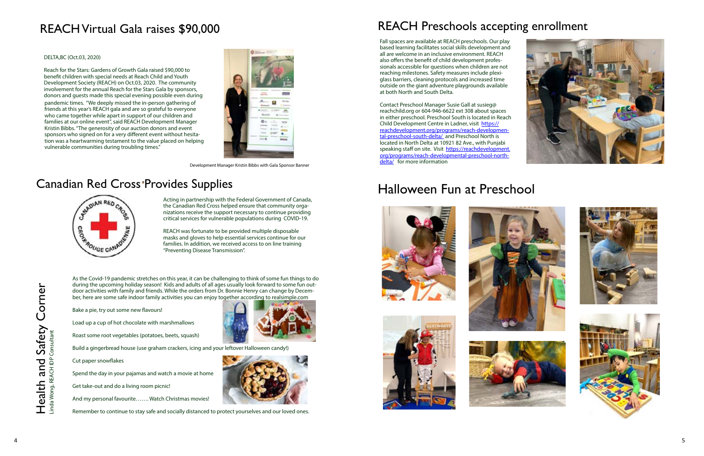Health and Safety Corner

Health and Safety Corner

Linda Wong, REACH IDP Consultant







As the Covid-19 pandemic stretches on this year, it can be challenging to think of some fun things to do during the upcoming holiday season! Kids and adults of all ages usually look forward to some fun out door activities with family and friends. While the orders from Dr. Bonnie Henry can change by Decem ber, here are some safe indoor family activities you can enjoy together according to realsimple.com

Bake a pie, try out some new flavours!

Load up a cup of hot chocolate with marshmallows

Roast some root vegetables (potatoes, beets, squash)

Build a gingerbread house (use graham crackers, icing and your leftover Halloween candy!)

Cut paper snowflakes

Spend the day in your pajamas and watch a movie at home

Get take-out and do a living room picnic!

And my personal favourite……. Watch Christmas movies!



Remember to continue to stay safe and socially distanced to protect yourselves and our loved ones.

## REACH Virtual Gala raises \$90,000 REACH Preschools accepting enrollment

## Halloween Fun at Preschool









Fall spaces are available at REACH preschools. Our play based learning facilitates social skills development and all are welcome in an inclusive environment. REACH also offers the benefit of child development profes sionals accessible for questions when children are not reaching milestones. Safety measures include plexi glass barriers, cleaning protocols and increased time outside on the giant adventure playgrounds available at both North and South Delta.

Contact Preschool Manager Susie Gall at susieg@ reachchild.org or 604-946-6622 ext 308 about spaces in either preschool. Preschool South is located in Reach Child Development Centre in Ladner, visit [https://](https://reachdevelopment.org/programs/reach-developmental-preschool-south-delta/ ) [reachdevelopment.org/programs/reach-developmen](https://reachdevelopment.org/programs/reach-developmental-preschool-south-delta/ ) [tal-preschool-south-delta/](https://reachdevelopment.org/programs/reach-developmental-preschool-south-delta/ ) and Preschool North is located in North Delta at 10921 82 Ave., with Punjabi speaking staff on site. Visit [https://reachdevelopment.](https://reachdevelopment.org/programs/reach-developmental-preschool-north-delta/) [org/programs/reach-developmental-preschool-north](https://reachdevelopment.org/programs/reach-developmental-preschool-north-delta/)[delta/](https://reachdevelopment.org/programs/reach-developmental-preschool-north-delta/) for more information

pandemic times. "We deeply missed the in-person gathering of friends at this year's REACH gala and are so grateful to everyone who came together while apart in support of our children and families at our online event", said REACH Development Manager Kristin Bibbs. "The generosity of our auction donors and event sponsors who signed on for a very different event without hesita tion was a heartwarming testament to the value placed on helping vulnerable communities during troubling times." Reach for the Stars: Gardens of Growth Gala raised \$90,000 to benefit children with special needs at Reach Child and Youth Development Society (REACH) on Oct.03, 2020. The community involvement for the annual Reach for the Stars Gala by sponsors, donors and guests made this special evening possible even during

#### DELTA,BC (Oct.03, 2020)



Development Manager Kristin Bibbs with Gala Sponsor Banner

#### Canadian Red Cross Provides Supplies



Acting in partnership with the Federal Government of Canada, the Canadian Red Cross helped ensure that community orga nizations receive the support necessary to continue providing critical services for vulnerable populations during COVID-19.

REACH was fortunate to be provided multiple disposable masks and gloves to help essential services continue for our families. In addition, we received access to on line training "Preventing Disease Transmission".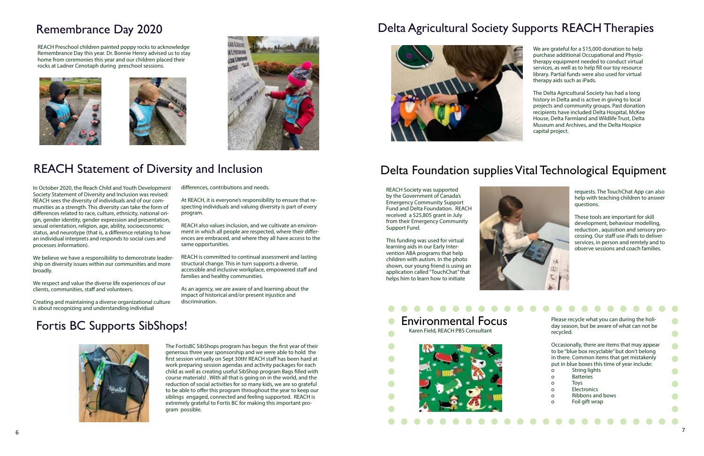

We are grateful for a \$15,000 donation to help purchase additional Occupational and Physiotherapy equipment needed to conduct virtual services, as well as to help fill our toy resource library. Partial funds were also used for virtual therapy aids such as iPads.

The Delta Agricultural Society has had a long history in Delta and is active in giving to local projects and community groups. Past donation recipients have included Delta Hospital, McKee House, Delta Farmland and Wildlife Trust, Delta Museum and Archives, and the Delta Hospice capital project.

The FortisBC SibShops program has begun the first year of their generous three year sponsorship and we were able to hold the first session virtually on Sept 30th! REACH staff has been hard at work preparing session agendas and activity packages for each child as well as creating useful SibShop program Bags filled with course materials! . With all that is going on in the world, and the reduction of social activities for so many kids, we are so grateful to be able to offer this program throughout the year to keep our siblings engaged, connected and feeling supported. REACH is extremely grateful to Fortis BC for making this important program possible.

#### Environmental Focus  $\bullet$ Karen Field, REACH PBS Consultant  $\bullet$



### Delta Agricultural Society Supports REACH Therapies



### Delta Foundation supplies Vital Technological Equipment

REACH Preschool children painted poppy rocks to acknowledge Remembrance Day this year. Dr. Bonnie Henry advised us to stay home from ceremonies this year and our children placed their rocks at Ladner Cenotaph during preschool sessions.







Please recycle what you can during the holiday season, but be aware of what can not be recycled.

Occasionally, there are items that may appear to be "blue box recyclable" but don't belong in there. Common items that get mistakenly put in blue boxes this time of year include:

- o String lights
- o Batteries
- o Toys
- o Electronics
- o Ribbons and bows
- o Foil gift wrap

### Remembrance Day 2020

## REACH Statement of Diversity and Inclusion

## Fortis BC Supports SibShops!



REACH Society was supported by the Government of Canada's Emergency Community Support Fund and Delta Foundation. REACH received a \$25,805 grant in July from their Emergency Community Support Fund.

This funding was used for virtual learning aids in our Early Intervention ABA programs that help children with autism. In the photo shown, our young friend is using an application called "TouchChat" that helps him to learn how to initiate

 $\bullet$ 

 $\bullet$ 

 $\bullet$ 

 $\bullet$ 



requests. The TouchChat App can also help with teaching children to answer questions.

These tools are important for skill development, behaviour modelling, reduction , aquisition and sensory processing. Our staff use iPads to deliver services, in person and remtely and to observe sessions and coach families.

In October 2020, the Reach Child and Youth Development Society Statement of Diversity and Inclusion was revised: REACH sees the diversity of individuals and of our communities as a strength. This diversity can take the form of differences related to race, culture, ethnicity, national origin, gender identity, gender expression and presentation, sexual orientation, religion, age, ability, socioeconomic status, and neurotype (that is, a difference relating to how an individual interprets and responds to social cues and processes information).

We believe we have a responsibility to demonstrate leadership on diversity issues within our communities and more broadly.

We respect and value the diverse life experiences of our clients, communities, staff and volunteers.

Creating and maintaining a diverse organizational culture is about recognizing and understanding individual

differences, contributions and needs.

At REACH, it is everyone's responsibility to ensure that respecting individuals and valuing diversity is part of every program.

REACH also values inclusion, and we cultivate an environment in which all people are respected, where their differences are embraced, and where they all have access to the same opportunities.

REACH is committed to continual assessment and lasting structural change. This in turn supports a diverse, accessible and inclusive workplace, empowered staff and families and healthy communities.

As an agency, we are aware of and learning about the impact of historical and/or present injustice and discrimination.